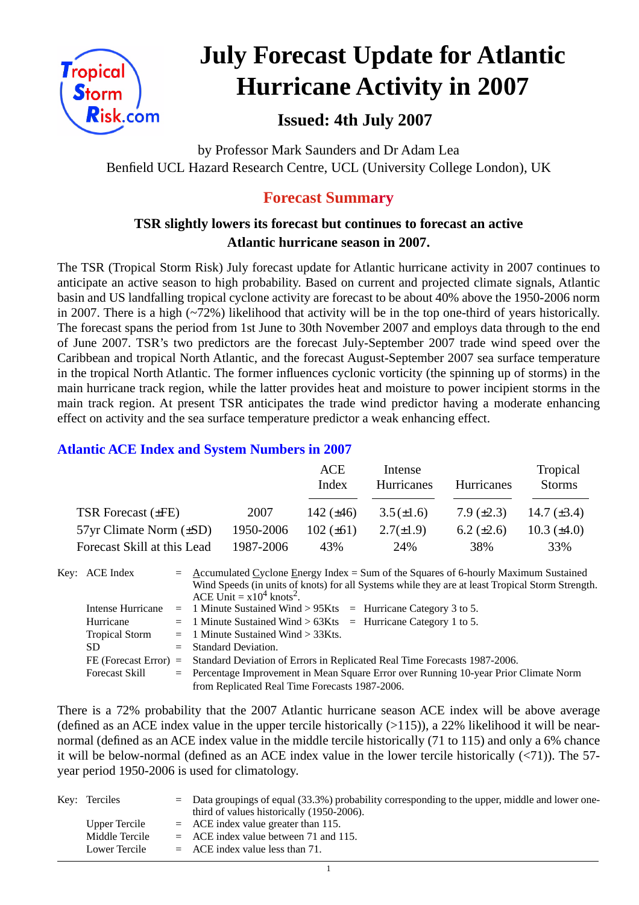

# **July Forecast Update for Atlantic Hurricane Activity in 2007**

# **Issued: 4th July 2007**

by Professor Mark Saunders and Dr Adam Lea Benfield UCL Hazard Research Centre, UCL (University College London), UK

## **Forecast Summary**

### **TSR slightly lowers its forecast but continues to forecast an active Atlantic hurricane season in 2007.**

The TSR (Tropical Storm Risk) July forecast update for Atlantic hurricane activity in 2007 continues to anticipate an active season to high probability. Based on current and projected climate signals, Atlantic basin and US landfalling tropical cyclone activity are forecast to be about 40% above the 1950-2006 norm in 2007. There is a high  $(\sim 72\%)$  likelihood that activity will be in the top one-third of years historically. The forecast spans the period from 1st June to 30th November 2007 and employs data through to the end of June 2007. TSR's two predictors are the forecast July-September 2007 trade wind speed over the Caribbean and tropical North Atlantic, and the forecast August-September 2007 sea surface temperature in the tropical North Atlantic. The former influences cyclonic vorticity (the spinning up of storms) in the main hurricane track region, while the latter provides heat and moisture to power incipient storms in the main track region. At present TSR anticipates the trade wind predictor having a moderate enhancing effect on activity and the sea surface temperature predictor a weak enhancing effect.

#### **Atlantic ACE Index and System Numbers in 2007**

|                                |           | ACE<br>Index   | Intense<br><b>Hurricanes</b> | <b>Hurricanes</b> | Tropical<br><b>Storms</b> |
|--------------------------------|-----------|----------------|------------------------------|-------------------|---------------------------|
| TSR Forecast $(\pm FE)$        | 2007      | 142 $(\pm 46)$ | $3.5(\pm 1.6)$               | $7.9 \ (\pm 2.3)$ | 14.7 $(\pm 3.4)$          |
| $57yr$ Climate Norm $(\pm SD)$ | 1950-2006 | $102 (\pm 61)$ | $2.7(\pm 1.9)$               | 6.2 $(\pm 2.6)$   | 10.3 $(\pm 4.0)$          |
| Forecast Skill at this Lead    | 1987-2006 | 43%            | 24%                          | 38%               | 33%                       |

| Key: ACE Index        | $=$ Accumulated Cyclone Energy Index = Sum of the Squares of 6-hourly Maximum Sustained<br>Wind Speeds (in units of knots) for all Systems while they are at least Tropical Storm Strength.<br>ACE Unit = $x10^4$ knots <sup>2</sup> . |  |  |  |  |  |
|-----------------------|----------------------------------------------------------------------------------------------------------------------------------------------------------------------------------------------------------------------------------------|--|--|--|--|--|
| Intense Hurricane     | $=$ 1 Minute Sustained Wind > 95Kts $=$ Hurricane Category 3 to 5.                                                                                                                                                                     |  |  |  |  |  |
| Hurricane             | $=$ 1 Minute Sustained Wind > 63Kts $=$ Hurricane Category 1 to 5.                                                                                                                                                                     |  |  |  |  |  |
| <b>Tropical Storm</b> | $=$ 1 Minute Sustained Wind > 33Kts.                                                                                                                                                                                                   |  |  |  |  |  |
| SD.                   | $=$ Standard Deviation.                                                                                                                                                                                                                |  |  |  |  |  |
|                       | FE (Forecast Error) = Standard Deviation of Errors in Replicated Real Time Forecasts 1987-2006.                                                                                                                                        |  |  |  |  |  |
| <b>Forecast Skill</b> | $=$ Percentage Improvement in Mean Square Error over Running 10-year Prior Climate Norm                                                                                                                                                |  |  |  |  |  |
|                       | from Replicated Real Time Forecasts 1987-2006.                                                                                                                                                                                         |  |  |  |  |  |

There is a 72% probability that the 2007 Atlantic hurricane season ACE index will be above average (defined as an ACE index value in the upper tercile historically  $(>115)$ ), a 22% likelihood it will be nearnormal (defined as an ACE index value in the middle tercile historically (71 to 115) and only a 6% chance it will be below-normal (defined as an ACE index value in the lower tercile historically  $(\langle 71 \rangle)$ ). The 57year period 1950-2006 is used for climatology.

| Key: Terciles  | $=$ Data groupings of equal (33.3%) probability corresponding to the upper, middle and lower one- |
|----------------|---------------------------------------------------------------------------------------------------|
|                | third of values historically (1950-2006).                                                         |
| Upper Tercile  | $=$ ACE index value greater than 115.                                                             |
| Middle Tercile | $=$ ACE index value between 71 and 115.                                                           |
| Lower Tercile  | $=$ ACE index value less than 71.                                                                 |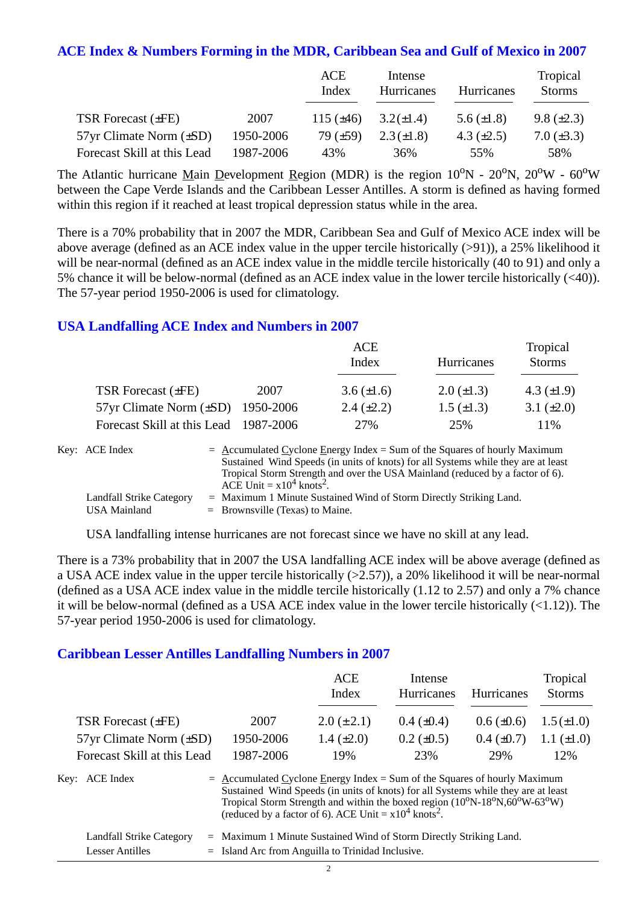#### **ACE Index & Numbers Forming in the MDR, Caribbean Sea and Gulf of Mexico in 2007**

|                                |           | ACE<br>Index   | Intense<br>Hurricanes | Hurricanes      | Tropical<br><b>Storms</b> |
|--------------------------------|-----------|----------------|-----------------------|-----------------|---------------------------|
| <b>TSR Forecast (±FE)</b>      | 2007      | 115 $(\pm 46)$ | $3.2(\pm 1.4)$        | 5.6 $(\pm 1.8)$ | $9.8 (\pm 2.3)$           |
| $57yr$ Climate Norm $(\pm SD)$ | 1950-2006 | 79 $(\pm 59)$  | $2.3 (\pm 1.8)$       | 4.3 $(\pm 2.5)$ | $7.0 (\pm 3.3)$           |
| Forecast Skill at this Lead    | 1987-2006 | 43%            | 36%                   | 55%             | 58%                       |

The Atlantic hurricane Main Development Region (MDR) is the region  $10^{\circ}N$  -  $20^{\circ}N$ ,  $20^{\circ}W$  -  $60^{\circ}W$ between the Cape Verde Islands and the Caribbean Lesser Antilles. A storm is defined as having formed within this region if it reached at least tropical depression status while in the area.

There is a 70% probability that in 2007 the MDR, Caribbean Sea and Gulf of Mexico ACE index will be above average (defined as an ACE index value in the upper tercile historically (>91)), a 25% likelihood it will be near-normal (defined as an ACE index value in the middle tercile historically (40 to 91) and only a 5% chance it will be below-normal (defined as an ACE index value in the lower tercile historically (<40)). The 57-year period 1950-2006 is used for climatology.

#### **USA Landfalling ACE Index and Numbers in 2007**

|                                        |      | ACE<br>Index      | <b>Hurricanes</b> | Tropical<br><b>Storms</b> |
|----------------------------------------|------|-------------------|-------------------|---------------------------|
| TSR Forecast (±FE)                     | 2007 | $3.6 (\pm 1.6)$   | $2.0 (\pm 1.3)$   | 4.3 $(\pm 1.9)$           |
| 57yr Climate Norm $(\pm SD)$ 1950-2006 |      | $2.4 \ (\pm 2.2)$ | $1.5 \ (\pm 1.3)$ | 3.1 $(\pm 2.0)$           |
| Forecast Skill at this Lead 1987-2006  |      | 27%               | 25%               | 11%                       |

| Key: ACE Index           | $=$ Accumulated Cyclone Energy Index = Sum of the Squares of hourly Maximum       |
|--------------------------|-----------------------------------------------------------------------------------|
|                          | Sustained Wind Speeds (in units of knots) for all Systems while they are at least |
|                          | Tropical Storm Strength and over the USA Mainland (reduced by a factor of 6).     |
|                          | ACE Unit = $x10^4$ knots <sup>2</sup> .                                           |
| Landfall Strike Category | = Maximum 1 Minute Sustained Wind of Storm Directly Striking Land.                |
| USA Mainland             | $=$ Brownsville (Texas) to Maine.                                                 |

USA landfalling intense hurricanes are not forecast since we have no skill at any lead.

There is a 73% probability that in 2007 the USA landfalling ACE index will be above average (defined as a USA ACE index value in the upper tercile historically (>2.57)), a 20% likelihood it will be near-normal (defined as a USA ACE index value in the middle tercile historically (1.12 to 2.57) and only a 7% chance it will be below-normal (defined as a USA ACE index value in the lower tercile historically (<1.12)). The 57-year period 1950-2006 is used for climatology.

#### **Caribbean Lesser Antilles Landfalling Numbers in 2007**

|                                |           | ACE<br>Index    | Intense<br>Hurricanes | Hurricanes      | Tropical<br><b>Storms</b> |
|--------------------------------|-----------|-----------------|-----------------------|-----------------|---------------------------|
| <b>TSR Forecast (±FE)</b>      | 2007      | $2.0 (\pm 2.1)$ | $0.4~(\pm 0.4)$       | $0.6 (\pm 0.6)$ | $1.5 (\pm 1.0)$           |
| $57yr$ Climate Norm $(\pm SD)$ | 1950-2006 | 1.4 $(\pm 2.0)$ | $0.2 \ (\pm 0.5)$     | $0.4~(\pm 0.7)$ | 1.1 $(\pm 1.0)$           |
| Forecast Skill at this Lead    | 1987-2006 | 19%             | 23%                   | 29%             | 12%                       |
|                                |           |                 |                       |                 |                           |

| Key: ACE Index           | $=$ Accumulated Cyclone Energy Index = Sum of the Squares of hourly Maximum<br>Sustained Wind Speeds (in units of knots) for all Systems while they are at least<br>Tropical Storm Strength and within the boxed region (10°N-18°N,60°W-63°W)<br>(reduced by a factor of 6). ACE Unit = $x10^4$ knots <sup>2</sup> . |
|--------------------------|----------------------------------------------------------------------------------------------------------------------------------------------------------------------------------------------------------------------------------------------------------------------------------------------------------------------|
| Landfall Strike Category | $=$ Maximum 1 Minute Sustained Wind of Storm Directly Striking Land.                                                                                                                                                                                                                                                 |
| <b>Lesser Antilles</b>   | $=$ Island Arc from Anguilla to Trinidad Inclusive.                                                                                                                                                                                                                                                                  |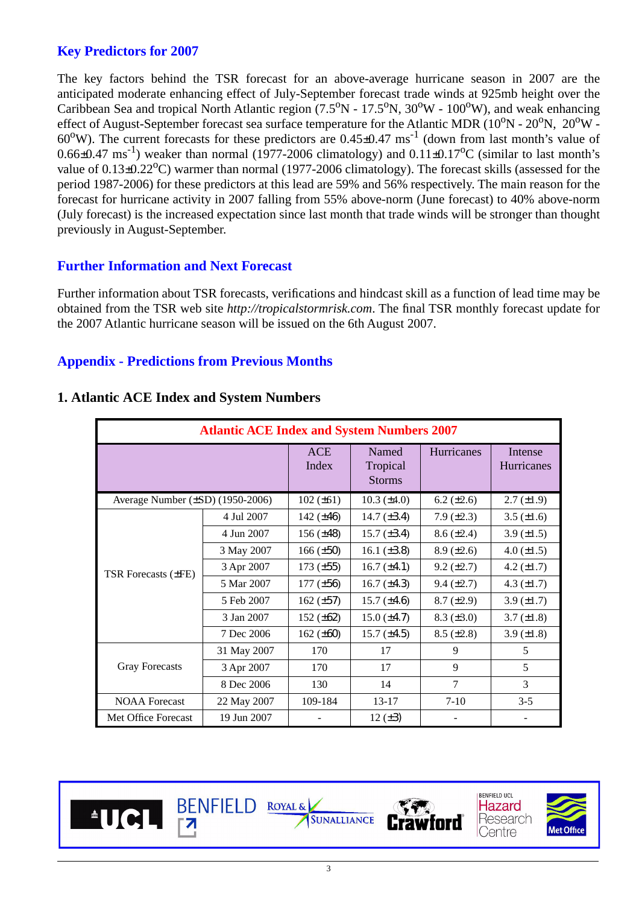#### **Key Predictors for 2007**

The key factors behind the TSR forecast for an above-average hurricane season in 2007 are the anticipated moderate enhancing effect of July-September forecast trade winds at 925mb height over the Caribbean Sea and tropical North Atlantic region (7.5 $\rm ^{O}N$  - 17.5 $\rm ^{O}N$ , 30 $\rm ^{O}W$  - 100 $\rm ^{O}W$ ), and weak enhancing effect of August-September forecast sea surface temperature for the Atlantic MDR ( $10^{\rm o}{\rm N}$  -  $20^{\rm o}{\rm N},\ 20^{\rm o}{\rm W}$  - $60^{\circ}$ W). The current forecasts for these predictors are  $0.45 \pm 0.47$  ms<sup>-1</sup> (down from last month's value of 0.66 $\pm$ 0.47 ms<sup>-1</sup>) weaker than normal (1977-2006 climatology) and 0.11 $\pm$ 0.17<sup>o</sup>C (similar to last month's value of  $0.13\pm0.22^{\circ}$ C) warmer than normal (1977-2006 climatology). The forecast skills (assessed for the period 1987-2006) for these predictors at this lead are 59% and 56% respectively. The main reason for the forecast for hurricane activity in 2007 falling from 55% above-norm (June forecast) to 40% above-norm (July forecast) is the increased expectation since last month that trade winds will be stronger than thought previously in August-September.

#### **Further Information and Next Forecast**

Further information about TSR forecasts, verifications and hindcast skill as a function of lead time may be obtained from the TSR web site *http://tropicalstormrisk.com*. The final TSR monthly forecast update for the 2007 Atlantic hurricane season will be issued on the 6th August 2007.

#### **Appendix - Predictions from Previous Month<sup>s</sup>**

| <b>Atlantic ACE Index and System Numbers 2007</b> |                     |                                    |                   |                              |                   |  |  |
|---------------------------------------------------|---------------------|------------------------------------|-------------------|------------------------------|-------------------|--|--|
|                                                   | <b>ACE</b><br>Index | Named<br>Tropical<br><b>Storms</b> | <b>Hurricanes</b> | Intense<br><b>Hurricanes</b> |                   |  |  |
| Average Number (±SD) (1950-2006)                  |                     | $102 (\pm 61)$                     | 10.3 $(\pm 4.0)$  | 6.2 $(\pm 2.6)$              | $2.7 (\pm 1.9)$   |  |  |
|                                                   | 4 Jul 2007          | 142 $(\pm 46)$                     | 14.7 $(\pm 3.4)$  | $7.9 (\pm 2.3)$              | 3.5 $(\pm 1.6)$   |  |  |
|                                                   | 4 Jun 2007          | $156 (\pm 48)$                     | $15.7 (\pm 3.4)$  | $8.6 (\pm 2.4)$              | $3.9 \ (\pm 1.5)$ |  |  |
|                                                   | 3 May 2007          | $166 (\pm 50)$                     | 16.1 $(\pm 3.8)$  | $8.9 \ (\pm 2.6)$            | 4.0 $(\pm 1.5)$   |  |  |
| TSR Forecasts (±FE)                               | 3 Apr 2007          | $173 (\pm 55)$                     | $16.7 (\pm 4.1)$  | $9.2 (\pm 2.7)$              | 4.2 $(\pm 1.7)$   |  |  |
|                                                   | 5 Mar 2007          | $177 (\pm 56)$                     | 16.7 $(\pm 4.3)$  | $9.4 (\pm 2.7)$              | 4.3 $(\pm 1.7)$   |  |  |
|                                                   | 5 Feb 2007          | $162 (\pm 57)$                     | 15.7 $(\pm 4.6)$  | $8.7 (\pm 2.9)$              | $3.9 \ (\pm 1.7)$ |  |  |
|                                                   | 3 Jan 2007          | 152 $(\pm 62)$                     | $15.0 (\pm 4.7)$  | $8.3 (\pm 3.0)$              | $3.7 (\pm 1.8)$   |  |  |
|                                                   | 7 Dec 2006          | 162 $(\pm 60)$                     | $15.7 (\pm 4.5)$  | $8.5 (\pm 2.8)$              | 3.9 $(\pm 1.8)$   |  |  |
|                                                   | 31 May 2007         | 170                                | 17                | 9                            | 5                 |  |  |
| <b>Gray Forecasts</b>                             | 3 Apr 2007          | 170                                | 17                | 9                            | 5                 |  |  |
|                                                   | 8 Dec 2006          | 130                                | 14                | 7                            | 3                 |  |  |
| <b>NOAA</b> Forecast                              | 22 May 2007         | 109-184                            | $13 - 17$         | $7-10$                       | $3 - 5$           |  |  |
| Met Office Forecast                               | 19 Jun 2007         |                                    | 12 $(\pm 3)$      |                              |                   |  |  |

#### **1. Atlantic ACE Index and System Numbers**